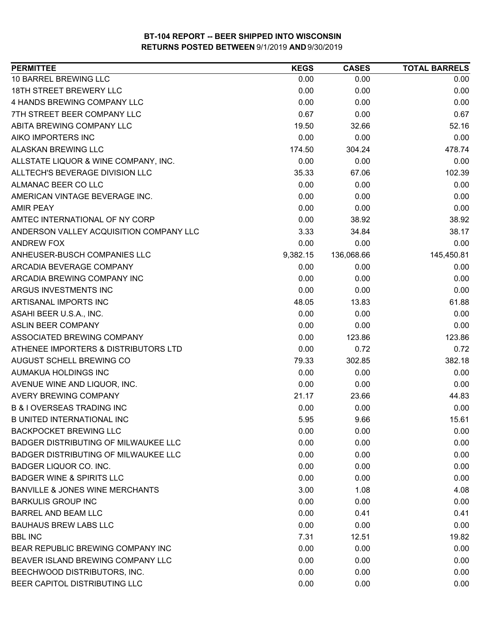| <b>PERMITTEE</b>                            | <b>KEGS</b> | <b>CASES</b> | <b>TOTAL BARRELS</b> |
|---------------------------------------------|-------------|--------------|----------------------|
| 10 BARREL BREWING LLC                       | 0.00        | 0.00         | 0.00                 |
| <b>18TH STREET BREWERY LLC</b>              | 0.00        | 0.00         | 0.00                 |
| 4 HANDS BREWING COMPANY LLC                 | 0.00        | 0.00         | 0.00                 |
| 7TH STREET BEER COMPANY LLC                 | 0.67        | 0.00         | 0.67                 |
| ABITA BREWING COMPANY LLC                   | 19.50       | 32.66        | 52.16                |
| AIKO IMPORTERS INC                          | 0.00        | 0.00         | 0.00                 |
| <b>ALASKAN BREWING LLC</b>                  | 174.50      | 304.24       | 478.74               |
| ALLSTATE LIQUOR & WINE COMPANY, INC.        | 0.00        | 0.00         | 0.00                 |
| ALLTECH'S BEVERAGE DIVISION LLC             | 35.33       | 67.06        | 102.39               |
| ALMANAC BEER CO LLC                         | 0.00        | 0.00         | 0.00                 |
| AMERICAN VINTAGE BEVERAGE INC.              | 0.00        | 0.00         | 0.00                 |
| <b>AMIR PEAY</b>                            | 0.00        | 0.00         | 0.00                 |
| AMTEC INTERNATIONAL OF NY CORP              | 0.00        | 38.92        | 38.92                |
| ANDERSON VALLEY ACQUISITION COMPANY LLC     | 3.33        | 34.84        | 38.17                |
| <b>ANDREW FOX</b>                           | 0.00        | 0.00         | 0.00                 |
| ANHEUSER-BUSCH COMPANIES LLC                | 9,382.15    | 136,068.66   | 145,450.81           |
| ARCADIA BEVERAGE COMPANY                    | 0.00        | 0.00         | 0.00                 |
| ARCADIA BREWING COMPANY INC                 | 0.00        | 0.00         | 0.00                 |
| ARGUS INVESTMENTS INC                       | 0.00        | 0.00         | 0.00                 |
| ARTISANAL IMPORTS INC                       | 48.05       | 13.83        | 61.88                |
| ASAHI BEER U.S.A., INC.                     | 0.00        | 0.00         | 0.00                 |
| <b>ASLIN BEER COMPANY</b>                   | 0.00        | 0.00         | 0.00                 |
| ASSOCIATED BREWING COMPANY                  | 0.00        | 123.86       | 123.86               |
| ATHENEE IMPORTERS & DISTRIBUTORS LTD        | 0.00        | 0.72         | 0.72                 |
| AUGUST SCHELL BREWING CO                    | 79.33       | 302.85       | 382.18               |
| AUMAKUA HOLDINGS INC                        | 0.00        | 0.00         | 0.00                 |
| AVENUE WINE AND LIQUOR, INC.                | 0.00        | 0.00         | 0.00                 |
| <b>AVERY BREWING COMPANY</b>                | 21.17       | 23.66        | 44.83                |
| <b>B &amp; I OVERSEAS TRADING INC</b>       | 0.00        | 0.00         | 0.00                 |
| <b>B UNITED INTERNATIONAL INC</b>           | 5.95        | 9.66         | 15.61                |
| <b>BACKPOCKET BREWING LLC</b>               | 0.00        | 0.00         | 0.00                 |
| <b>BADGER DISTRIBUTING OF MILWAUKEE LLC</b> | 0.00        | 0.00         | 0.00                 |
| <b>BADGER DISTRIBUTING OF MILWAUKEE LLC</b> | 0.00        | 0.00         | 0.00                 |
| <b>BADGER LIQUOR CO. INC.</b>               | 0.00        | 0.00         | 0.00                 |
| <b>BADGER WINE &amp; SPIRITS LLC</b>        | 0.00        | 0.00         | 0.00                 |
| <b>BANVILLE &amp; JONES WINE MERCHANTS</b>  | 3.00        | 1.08         | 4.08                 |
| <b>BARKULIS GROUP INC</b>                   | 0.00        | 0.00         | 0.00                 |
| <b>BARREL AND BEAM LLC</b>                  | 0.00        | 0.41         | 0.41                 |
| <b>BAUHAUS BREW LABS LLC</b>                | 0.00        | 0.00         | 0.00                 |
| <b>BBL INC</b>                              | 7.31        | 12.51        | 19.82                |
| BEAR REPUBLIC BREWING COMPANY INC           | 0.00        | 0.00         | 0.00                 |
| BEAVER ISLAND BREWING COMPANY LLC           | 0.00        | 0.00         | 0.00                 |
| BEECHWOOD DISTRIBUTORS, INC.                | 0.00        | 0.00         | 0.00                 |
| BEER CAPITOL DISTRIBUTING LLC               | 0.00        | 0.00         | 0.00                 |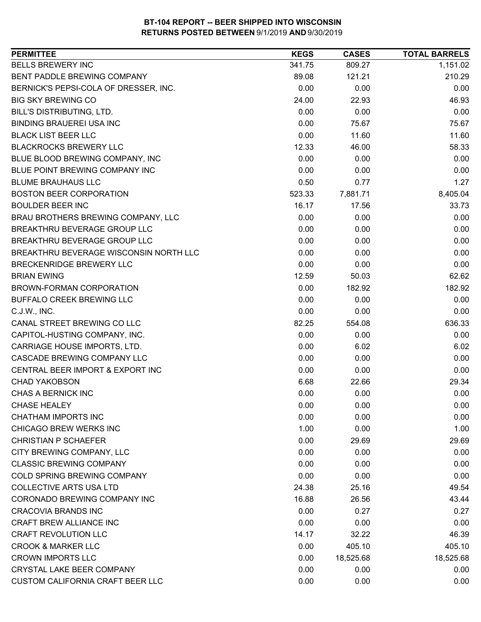| <b>BELLS BREWERY INC</b><br>809.27<br>341.75<br>1,151.02<br><b>BENT PADDLE BREWING COMPANY</b><br>210.29<br>89.08<br>121.21<br>0.00<br>BERNICK'S PEPSI-COLA OF DRESSER, INC.<br>0.00<br>0.00<br><b>BIG SKY BREWING CO</b><br>24.00<br>46.93<br>22.93<br>0.00<br>BILL'S DISTRIBUTING, LTD.<br>0.00<br>0.00<br><b>BINDING BRAUEREI USA INC</b><br>0.00<br>75.67<br>75.67<br><b>BLACK LIST BEER LLC</b><br>0.00<br>11.60<br>11.60<br><b>BLACKROCKS BREWERY LLC</b><br>12.33<br>46.00<br>58.33<br>0.00<br>BLUE BLOOD BREWING COMPANY, INC<br>0.00<br>0.00<br>BLUE POINT BREWING COMPANY INC<br>0.00<br>0.00<br>0.00<br><b>BLUME BRAUHAUS LLC</b><br>0.50<br>0.77<br>1.27<br><b>BOSTON BEER CORPORATION</b><br>7,881.71<br>8,405.04<br>523.33<br><b>BOULDER BEER INC</b><br>16.17<br>33.73<br>17.56<br>BRAU BROTHERS BREWING COMPANY, LLC<br>0.00<br>0.00<br>0.00<br>BREAKTHRU BEVERAGE GROUP LLC<br>0.00<br>0.00<br>0.00<br>BREAKTHRU BEVERAGE GROUP LLC<br>0.00<br>0.00<br>0.00<br>BREAKTHRU BEVERAGE WISCONSIN NORTH LLC<br>0.00<br>0.00<br>0.00<br><b>BRECKENRIDGE BREWERY LLC</b><br>0.00<br>0.00<br>0.00<br>12.59<br>62.62<br><b>BRIAN EWING</b><br>50.03<br>0.00<br>182.92<br>182.92<br>BROWN-FORMAN CORPORATION<br>0.00<br>BUFFALO CREEK BREWING LLC<br>0.00<br>0.00<br>0.00<br>0.00<br>C.J.W., INC.<br>0.00<br>CANAL STREET BREWING CO LLC<br>82.25<br>554.08<br>636.33<br>CAPITOL-HUSTING COMPANY, INC.<br>0.00<br>0.00<br>0.00<br>0.00<br>6.02<br>CARRIAGE HOUSE IMPORTS, LTD.<br>6.02<br>CASCADE BREWING COMPANY LLC<br>0.00<br>0.00<br>0.00<br>0.00<br>0.00<br>CENTRAL BEER IMPORT & EXPORT INC<br>0.00<br>29.34<br><b>CHAD YAKOBSON</b><br>6.68<br>22.66<br><b>CHAS A BERNICK INC</b><br>0.00<br>0.00<br>0.00<br><b>CHASE HEALEY</b><br>0.00<br>0.00<br>0.00<br>0.00<br>0.00<br>0.00<br><b>CHICAGO BREW WERKS INC</b><br>1.00<br>0.00<br>1.00<br>0.00<br><b>CHRISTIAN P SCHAEFER</b><br>29.69<br>29.69<br>CITY BREWING COMPANY, LLC<br>0.00<br>0.00<br>0.00<br>0.00<br>0.00<br>0.00<br>0.00<br><b>COLD SPRING BREWING COMPANY</b><br>0.00<br>0.00<br><b>COLLECTIVE ARTS USA LTD</b><br>49.54<br>24.38<br>25.16<br>CORONADO BREWING COMPANY INC<br>16.88<br>26.56<br>43.44<br>0.00<br>0.27<br>0.27<br>CRAFT BREW ALLIANCE INC<br>0.00<br>0.00<br>0.00<br><b>CRAFT REVOLUTION LLC</b><br>14.17<br>32.22<br>46.39<br><b>CROOK &amp; MARKER LLC</b><br>405.10<br>0.00<br>405.10<br><b>CROWN IMPORTS LLC</b><br>0.00<br>18,525.68<br>18,525.68<br>CRYSTAL LAKE BEER COMPANY<br>0.00<br>0.00<br>0.00 | <b>PERMITTEE</b>                 | <b>KEGS</b> | <b>CASES</b> | <b>TOTAL BARRELS</b> |
|---------------------------------------------------------------------------------------------------------------------------------------------------------------------------------------------------------------------------------------------------------------------------------------------------------------------------------------------------------------------------------------------------------------------------------------------------------------------------------------------------------------------------------------------------------------------------------------------------------------------------------------------------------------------------------------------------------------------------------------------------------------------------------------------------------------------------------------------------------------------------------------------------------------------------------------------------------------------------------------------------------------------------------------------------------------------------------------------------------------------------------------------------------------------------------------------------------------------------------------------------------------------------------------------------------------------------------------------------------------------------------------------------------------------------------------------------------------------------------------------------------------------------------------------------------------------------------------------------------------------------------------------------------------------------------------------------------------------------------------------------------------------------------------------------------------------------------------------------------------------------------------------------------------------------------------------------------------------------------------------------------------------------------------------------------------------------------------------------------------------------------------------------------------------------------------------------------------------------------------------------------------------------------------------------------------------------------------------------------------------------------------------------------------------------------------------------------------------------------------------------------|----------------------------------|-------------|--------------|----------------------|
|                                                                                                                                                                                                                                                                                                                                                                                                                                                                                                                                                                                                                                                                                                                                                                                                                                                                                                                                                                                                                                                                                                                                                                                                                                                                                                                                                                                                                                                                                                                                                                                                                                                                                                                                                                                                                                                                                                                                                                                                                                                                                                                                                                                                                                                                                                                                                                                                                                                                                                         |                                  |             |              |                      |
|                                                                                                                                                                                                                                                                                                                                                                                                                                                                                                                                                                                                                                                                                                                                                                                                                                                                                                                                                                                                                                                                                                                                                                                                                                                                                                                                                                                                                                                                                                                                                                                                                                                                                                                                                                                                                                                                                                                                                                                                                                                                                                                                                                                                                                                                                                                                                                                                                                                                                                         |                                  |             |              |                      |
|                                                                                                                                                                                                                                                                                                                                                                                                                                                                                                                                                                                                                                                                                                                                                                                                                                                                                                                                                                                                                                                                                                                                                                                                                                                                                                                                                                                                                                                                                                                                                                                                                                                                                                                                                                                                                                                                                                                                                                                                                                                                                                                                                                                                                                                                                                                                                                                                                                                                                                         |                                  |             |              |                      |
|                                                                                                                                                                                                                                                                                                                                                                                                                                                                                                                                                                                                                                                                                                                                                                                                                                                                                                                                                                                                                                                                                                                                                                                                                                                                                                                                                                                                                                                                                                                                                                                                                                                                                                                                                                                                                                                                                                                                                                                                                                                                                                                                                                                                                                                                                                                                                                                                                                                                                                         |                                  |             |              |                      |
|                                                                                                                                                                                                                                                                                                                                                                                                                                                                                                                                                                                                                                                                                                                                                                                                                                                                                                                                                                                                                                                                                                                                                                                                                                                                                                                                                                                                                                                                                                                                                                                                                                                                                                                                                                                                                                                                                                                                                                                                                                                                                                                                                                                                                                                                                                                                                                                                                                                                                                         |                                  |             |              |                      |
|                                                                                                                                                                                                                                                                                                                                                                                                                                                                                                                                                                                                                                                                                                                                                                                                                                                                                                                                                                                                                                                                                                                                                                                                                                                                                                                                                                                                                                                                                                                                                                                                                                                                                                                                                                                                                                                                                                                                                                                                                                                                                                                                                                                                                                                                                                                                                                                                                                                                                                         |                                  |             |              |                      |
|                                                                                                                                                                                                                                                                                                                                                                                                                                                                                                                                                                                                                                                                                                                                                                                                                                                                                                                                                                                                                                                                                                                                                                                                                                                                                                                                                                                                                                                                                                                                                                                                                                                                                                                                                                                                                                                                                                                                                                                                                                                                                                                                                                                                                                                                                                                                                                                                                                                                                                         |                                  |             |              |                      |
|                                                                                                                                                                                                                                                                                                                                                                                                                                                                                                                                                                                                                                                                                                                                                                                                                                                                                                                                                                                                                                                                                                                                                                                                                                                                                                                                                                                                                                                                                                                                                                                                                                                                                                                                                                                                                                                                                                                                                                                                                                                                                                                                                                                                                                                                                                                                                                                                                                                                                                         |                                  |             |              |                      |
|                                                                                                                                                                                                                                                                                                                                                                                                                                                                                                                                                                                                                                                                                                                                                                                                                                                                                                                                                                                                                                                                                                                                                                                                                                                                                                                                                                                                                                                                                                                                                                                                                                                                                                                                                                                                                                                                                                                                                                                                                                                                                                                                                                                                                                                                                                                                                                                                                                                                                                         |                                  |             |              |                      |
|                                                                                                                                                                                                                                                                                                                                                                                                                                                                                                                                                                                                                                                                                                                                                                                                                                                                                                                                                                                                                                                                                                                                                                                                                                                                                                                                                                                                                                                                                                                                                                                                                                                                                                                                                                                                                                                                                                                                                                                                                                                                                                                                                                                                                                                                                                                                                                                                                                                                                                         |                                  |             |              |                      |
|                                                                                                                                                                                                                                                                                                                                                                                                                                                                                                                                                                                                                                                                                                                                                                                                                                                                                                                                                                                                                                                                                                                                                                                                                                                                                                                                                                                                                                                                                                                                                                                                                                                                                                                                                                                                                                                                                                                                                                                                                                                                                                                                                                                                                                                                                                                                                                                                                                                                                                         |                                  |             |              |                      |
|                                                                                                                                                                                                                                                                                                                                                                                                                                                                                                                                                                                                                                                                                                                                                                                                                                                                                                                                                                                                                                                                                                                                                                                                                                                                                                                                                                                                                                                                                                                                                                                                                                                                                                                                                                                                                                                                                                                                                                                                                                                                                                                                                                                                                                                                                                                                                                                                                                                                                                         |                                  |             |              |                      |
|                                                                                                                                                                                                                                                                                                                                                                                                                                                                                                                                                                                                                                                                                                                                                                                                                                                                                                                                                                                                                                                                                                                                                                                                                                                                                                                                                                                                                                                                                                                                                                                                                                                                                                                                                                                                                                                                                                                                                                                                                                                                                                                                                                                                                                                                                                                                                                                                                                                                                                         |                                  |             |              |                      |
|                                                                                                                                                                                                                                                                                                                                                                                                                                                                                                                                                                                                                                                                                                                                                                                                                                                                                                                                                                                                                                                                                                                                                                                                                                                                                                                                                                                                                                                                                                                                                                                                                                                                                                                                                                                                                                                                                                                                                                                                                                                                                                                                                                                                                                                                                                                                                                                                                                                                                                         |                                  |             |              |                      |
|                                                                                                                                                                                                                                                                                                                                                                                                                                                                                                                                                                                                                                                                                                                                                                                                                                                                                                                                                                                                                                                                                                                                                                                                                                                                                                                                                                                                                                                                                                                                                                                                                                                                                                                                                                                                                                                                                                                                                                                                                                                                                                                                                                                                                                                                                                                                                                                                                                                                                                         |                                  |             |              |                      |
|                                                                                                                                                                                                                                                                                                                                                                                                                                                                                                                                                                                                                                                                                                                                                                                                                                                                                                                                                                                                                                                                                                                                                                                                                                                                                                                                                                                                                                                                                                                                                                                                                                                                                                                                                                                                                                                                                                                                                                                                                                                                                                                                                                                                                                                                                                                                                                                                                                                                                                         |                                  |             |              |                      |
|                                                                                                                                                                                                                                                                                                                                                                                                                                                                                                                                                                                                                                                                                                                                                                                                                                                                                                                                                                                                                                                                                                                                                                                                                                                                                                                                                                                                                                                                                                                                                                                                                                                                                                                                                                                                                                                                                                                                                                                                                                                                                                                                                                                                                                                                                                                                                                                                                                                                                                         |                                  |             |              |                      |
|                                                                                                                                                                                                                                                                                                                                                                                                                                                                                                                                                                                                                                                                                                                                                                                                                                                                                                                                                                                                                                                                                                                                                                                                                                                                                                                                                                                                                                                                                                                                                                                                                                                                                                                                                                                                                                                                                                                                                                                                                                                                                                                                                                                                                                                                                                                                                                                                                                                                                                         |                                  |             |              |                      |
|                                                                                                                                                                                                                                                                                                                                                                                                                                                                                                                                                                                                                                                                                                                                                                                                                                                                                                                                                                                                                                                                                                                                                                                                                                                                                                                                                                                                                                                                                                                                                                                                                                                                                                                                                                                                                                                                                                                                                                                                                                                                                                                                                                                                                                                                                                                                                                                                                                                                                                         |                                  |             |              |                      |
|                                                                                                                                                                                                                                                                                                                                                                                                                                                                                                                                                                                                                                                                                                                                                                                                                                                                                                                                                                                                                                                                                                                                                                                                                                                                                                                                                                                                                                                                                                                                                                                                                                                                                                                                                                                                                                                                                                                                                                                                                                                                                                                                                                                                                                                                                                                                                                                                                                                                                                         |                                  |             |              |                      |
|                                                                                                                                                                                                                                                                                                                                                                                                                                                                                                                                                                                                                                                                                                                                                                                                                                                                                                                                                                                                                                                                                                                                                                                                                                                                                                                                                                                                                                                                                                                                                                                                                                                                                                                                                                                                                                                                                                                                                                                                                                                                                                                                                                                                                                                                                                                                                                                                                                                                                                         |                                  |             |              |                      |
|                                                                                                                                                                                                                                                                                                                                                                                                                                                                                                                                                                                                                                                                                                                                                                                                                                                                                                                                                                                                                                                                                                                                                                                                                                                                                                                                                                                                                                                                                                                                                                                                                                                                                                                                                                                                                                                                                                                                                                                                                                                                                                                                                                                                                                                                                                                                                                                                                                                                                                         |                                  |             |              |                      |
|                                                                                                                                                                                                                                                                                                                                                                                                                                                                                                                                                                                                                                                                                                                                                                                                                                                                                                                                                                                                                                                                                                                                                                                                                                                                                                                                                                                                                                                                                                                                                                                                                                                                                                                                                                                                                                                                                                                                                                                                                                                                                                                                                                                                                                                                                                                                                                                                                                                                                                         |                                  |             |              |                      |
|                                                                                                                                                                                                                                                                                                                                                                                                                                                                                                                                                                                                                                                                                                                                                                                                                                                                                                                                                                                                                                                                                                                                                                                                                                                                                                                                                                                                                                                                                                                                                                                                                                                                                                                                                                                                                                                                                                                                                                                                                                                                                                                                                                                                                                                                                                                                                                                                                                                                                                         |                                  |             |              |                      |
|                                                                                                                                                                                                                                                                                                                                                                                                                                                                                                                                                                                                                                                                                                                                                                                                                                                                                                                                                                                                                                                                                                                                                                                                                                                                                                                                                                                                                                                                                                                                                                                                                                                                                                                                                                                                                                                                                                                                                                                                                                                                                                                                                                                                                                                                                                                                                                                                                                                                                                         |                                  |             |              |                      |
|                                                                                                                                                                                                                                                                                                                                                                                                                                                                                                                                                                                                                                                                                                                                                                                                                                                                                                                                                                                                                                                                                                                                                                                                                                                                                                                                                                                                                                                                                                                                                                                                                                                                                                                                                                                                                                                                                                                                                                                                                                                                                                                                                                                                                                                                                                                                                                                                                                                                                                         |                                  |             |              |                      |
|                                                                                                                                                                                                                                                                                                                                                                                                                                                                                                                                                                                                                                                                                                                                                                                                                                                                                                                                                                                                                                                                                                                                                                                                                                                                                                                                                                                                                                                                                                                                                                                                                                                                                                                                                                                                                                                                                                                                                                                                                                                                                                                                                                                                                                                                                                                                                                                                                                                                                                         |                                  |             |              |                      |
|                                                                                                                                                                                                                                                                                                                                                                                                                                                                                                                                                                                                                                                                                                                                                                                                                                                                                                                                                                                                                                                                                                                                                                                                                                                                                                                                                                                                                                                                                                                                                                                                                                                                                                                                                                                                                                                                                                                                                                                                                                                                                                                                                                                                                                                                                                                                                                                                                                                                                                         |                                  |             |              |                      |
|                                                                                                                                                                                                                                                                                                                                                                                                                                                                                                                                                                                                                                                                                                                                                                                                                                                                                                                                                                                                                                                                                                                                                                                                                                                                                                                                                                                                                                                                                                                                                                                                                                                                                                                                                                                                                                                                                                                                                                                                                                                                                                                                                                                                                                                                                                                                                                                                                                                                                                         |                                  |             |              |                      |
|                                                                                                                                                                                                                                                                                                                                                                                                                                                                                                                                                                                                                                                                                                                                                                                                                                                                                                                                                                                                                                                                                                                                                                                                                                                                                                                                                                                                                                                                                                                                                                                                                                                                                                                                                                                                                                                                                                                                                                                                                                                                                                                                                                                                                                                                                                                                                                                                                                                                                                         |                                  |             |              |                      |
|                                                                                                                                                                                                                                                                                                                                                                                                                                                                                                                                                                                                                                                                                                                                                                                                                                                                                                                                                                                                                                                                                                                                                                                                                                                                                                                                                                                                                                                                                                                                                                                                                                                                                                                                                                                                                                                                                                                                                                                                                                                                                                                                                                                                                                                                                                                                                                                                                                                                                                         | <b>CHATHAM IMPORTS INC</b>       |             |              |                      |
|                                                                                                                                                                                                                                                                                                                                                                                                                                                                                                                                                                                                                                                                                                                                                                                                                                                                                                                                                                                                                                                                                                                                                                                                                                                                                                                                                                                                                                                                                                                                                                                                                                                                                                                                                                                                                                                                                                                                                                                                                                                                                                                                                                                                                                                                                                                                                                                                                                                                                                         |                                  |             |              |                      |
|                                                                                                                                                                                                                                                                                                                                                                                                                                                                                                                                                                                                                                                                                                                                                                                                                                                                                                                                                                                                                                                                                                                                                                                                                                                                                                                                                                                                                                                                                                                                                                                                                                                                                                                                                                                                                                                                                                                                                                                                                                                                                                                                                                                                                                                                                                                                                                                                                                                                                                         |                                  |             |              |                      |
|                                                                                                                                                                                                                                                                                                                                                                                                                                                                                                                                                                                                                                                                                                                                                                                                                                                                                                                                                                                                                                                                                                                                                                                                                                                                                                                                                                                                                                                                                                                                                                                                                                                                                                                                                                                                                                                                                                                                                                                                                                                                                                                                                                                                                                                                                                                                                                                                                                                                                                         |                                  |             |              |                      |
|                                                                                                                                                                                                                                                                                                                                                                                                                                                                                                                                                                                                                                                                                                                                                                                                                                                                                                                                                                                                                                                                                                                                                                                                                                                                                                                                                                                                                                                                                                                                                                                                                                                                                                                                                                                                                                                                                                                                                                                                                                                                                                                                                                                                                                                                                                                                                                                                                                                                                                         | <b>CLASSIC BREWING COMPANY</b>   |             |              |                      |
|                                                                                                                                                                                                                                                                                                                                                                                                                                                                                                                                                                                                                                                                                                                                                                                                                                                                                                                                                                                                                                                                                                                                                                                                                                                                                                                                                                                                                                                                                                                                                                                                                                                                                                                                                                                                                                                                                                                                                                                                                                                                                                                                                                                                                                                                                                                                                                                                                                                                                                         |                                  |             |              |                      |
|                                                                                                                                                                                                                                                                                                                                                                                                                                                                                                                                                                                                                                                                                                                                                                                                                                                                                                                                                                                                                                                                                                                                                                                                                                                                                                                                                                                                                                                                                                                                                                                                                                                                                                                                                                                                                                                                                                                                                                                                                                                                                                                                                                                                                                                                                                                                                                                                                                                                                                         |                                  |             |              |                      |
|                                                                                                                                                                                                                                                                                                                                                                                                                                                                                                                                                                                                                                                                                                                                                                                                                                                                                                                                                                                                                                                                                                                                                                                                                                                                                                                                                                                                                                                                                                                                                                                                                                                                                                                                                                                                                                                                                                                                                                                                                                                                                                                                                                                                                                                                                                                                                                                                                                                                                                         |                                  |             |              |                      |
|                                                                                                                                                                                                                                                                                                                                                                                                                                                                                                                                                                                                                                                                                                                                                                                                                                                                                                                                                                                                                                                                                                                                                                                                                                                                                                                                                                                                                                                                                                                                                                                                                                                                                                                                                                                                                                                                                                                                                                                                                                                                                                                                                                                                                                                                                                                                                                                                                                                                                                         | <b>CRACOVIA BRANDS INC</b>       |             |              |                      |
|                                                                                                                                                                                                                                                                                                                                                                                                                                                                                                                                                                                                                                                                                                                                                                                                                                                                                                                                                                                                                                                                                                                                                                                                                                                                                                                                                                                                                                                                                                                                                                                                                                                                                                                                                                                                                                                                                                                                                                                                                                                                                                                                                                                                                                                                                                                                                                                                                                                                                                         |                                  |             |              |                      |
|                                                                                                                                                                                                                                                                                                                                                                                                                                                                                                                                                                                                                                                                                                                                                                                                                                                                                                                                                                                                                                                                                                                                                                                                                                                                                                                                                                                                                                                                                                                                                                                                                                                                                                                                                                                                                                                                                                                                                                                                                                                                                                                                                                                                                                                                                                                                                                                                                                                                                                         |                                  |             |              |                      |
|                                                                                                                                                                                                                                                                                                                                                                                                                                                                                                                                                                                                                                                                                                                                                                                                                                                                                                                                                                                                                                                                                                                                                                                                                                                                                                                                                                                                                                                                                                                                                                                                                                                                                                                                                                                                                                                                                                                                                                                                                                                                                                                                                                                                                                                                                                                                                                                                                                                                                                         |                                  |             |              |                      |
|                                                                                                                                                                                                                                                                                                                                                                                                                                                                                                                                                                                                                                                                                                                                                                                                                                                                                                                                                                                                                                                                                                                                                                                                                                                                                                                                                                                                                                                                                                                                                                                                                                                                                                                                                                                                                                                                                                                                                                                                                                                                                                                                                                                                                                                                                                                                                                                                                                                                                                         |                                  |             |              |                      |
|                                                                                                                                                                                                                                                                                                                                                                                                                                                                                                                                                                                                                                                                                                                                                                                                                                                                                                                                                                                                                                                                                                                                                                                                                                                                                                                                                                                                                                                                                                                                                                                                                                                                                                                                                                                                                                                                                                                                                                                                                                                                                                                                                                                                                                                                                                                                                                                                                                                                                                         |                                  |             |              |                      |
|                                                                                                                                                                                                                                                                                                                                                                                                                                                                                                                                                                                                                                                                                                                                                                                                                                                                                                                                                                                                                                                                                                                                                                                                                                                                                                                                                                                                                                                                                                                                                                                                                                                                                                                                                                                                                                                                                                                                                                                                                                                                                                                                                                                                                                                                                                                                                                                                                                                                                                         | CUSTOM CALIFORNIA CRAFT BEER LLC | 0.00        | 0.00         | 0.00                 |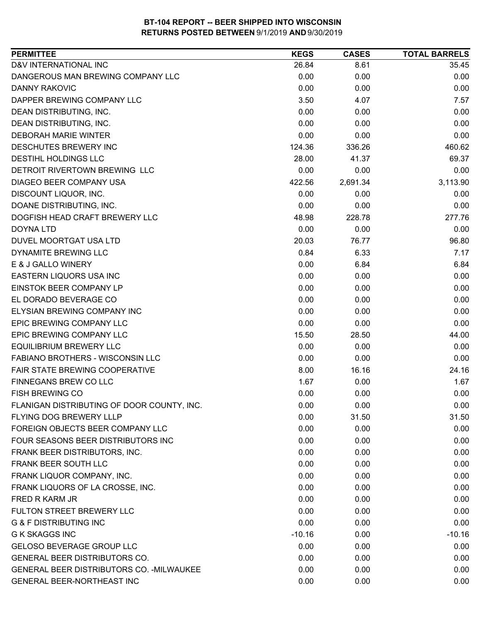| <b>PERMITTEE</b>                           | <b>KEGS</b> | <b>CASES</b> | <b>TOTAL BARRELS</b> |
|--------------------------------------------|-------------|--------------|----------------------|
| D&V INTERNATIONAL INC                      | 26.84       | 8.61         | 35.45                |
| DANGEROUS MAN BREWING COMPANY LLC          | 0.00        | 0.00         | 0.00                 |
| <b>DANNY RAKOVIC</b>                       | 0.00        | 0.00         | 0.00                 |
| DAPPER BREWING COMPANY LLC                 | 3.50        | 4.07         | 7.57                 |
| DEAN DISTRIBUTING, INC.                    | 0.00        | 0.00         | 0.00                 |
| DEAN DISTRIBUTING, INC.                    | 0.00        | 0.00         | 0.00                 |
| <b>DEBORAH MARIE WINTER</b>                | 0.00        | 0.00         | 0.00                 |
| DESCHUTES BREWERY INC                      | 124.36      | 336.26       | 460.62               |
| DESTIHL HOLDINGS LLC                       | 28.00       | 41.37        | 69.37                |
| DETROIT RIVERTOWN BREWING LLC              | 0.00        | 0.00         | 0.00                 |
| DIAGEO BEER COMPANY USA                    | 422.56      | 2,691.34     | 3,113.90             |
| DISCOUNT LIQUOR, INC.                      | 0.00        | 0.00         | 0.00                 |
| DOANE DISTRIBUTING, INC.                   | 0.00        | 0.00         | 0.00                 |
| DOGFISH HEAD CRAFT BREWERY LLC             | 48.98       | 228.78       | 277.76               |
| DOYNA LTD                                  | 0.00        | 0.00         | 0.00                 |
| DUVEL MOORTGAT USA LTD                     | 20.03       | 76.77        | 96.80                |
| <b>DYNAMITE BREWING LLC</b>                | 0.84        | 6.33         | 7.17                 |
| E & J GALLO WINERY                         | 0.00        | 6.84         | 6.84                 |
| EASTERN LIQUORS USA INC                    | 0.00        | 0.00         | 0.00                 |
| EINSTOK BEER COMPANY LP                    | 0.00        | 0.00         | 0.00                 |
| EL DORADO BEVERAGE CO                      | 0.00        | 0.00         | 0.00                 |
| ELYSIAN BREWING COMPANY INC                | 0.00        | 0.00         | 0.00                 |
| EPIC BREWING COMPANY LLC                   | 0.00        | 0.00         | 0.00                 |
| EPIC BREWING COMPANY LLC                   | 15.50       | 28.50        | 44.00                |
| <b>EQUILIBRIUM BREWERY LLC</b>             | 0.00        | 0.00         | 0.00                 |
| FABIANO BROTHERS - WISCONSIN LLC           | 0.00        | 0.00         | 0.00                 |
| FAIR STATE BREWING COOPERATIVE             | 8.00        | 16.16        | 24.16                |
| FINNEGANS BREW CO LLC                      | 1.67        | 0.00         | 1.67                 |
| FISH BREWING CO                            | 0.00        | 0.00         | 0.00                 |
| FLANIGAN DISTRIBUTING OF DOOR COUNTY, INC. | 0.00        | 0.00         | 0.00                 |
| <b>FLYING DOG BREWERY LLLP</b>             | 0.00        | 31.50        | 31.50                |
| FOREIGN OBJECTS BEER COMPANY LLC           | 0.00        | 0.00         | 0.00                 |
| FOUR SEASONS BEER DISTRIBUTORS INC         | 0.00        | 0.00         | 0.00                 |
| FRANK BEER DISTRIBUTORS, INC.              | 0.00        | 0.00         | 0.00                 |
| FRANK BEER SOUTH LLC                       | 0.00        | 0.00         | 0.00                 |
| FRANK LIQUOR COMPANY, INC.                 | 0.00        | 0.00         | 0.00                 |
| FRANK LIQUORS OF LA CROSSE, INC.           | 0.00        | 0.00         | 0.00                 |
| FRED R KARM JR                             | 0.00        | 0.00         | 0.00                 |
| FULTON STREET BREWERY LLC                  | 0.00        | 0.00         | 0.00                 |
| <b>G &amp; F DISTRIBUTING INC</b>          | 0.00        | 0.00         | 0.00                 |
| <b>G K SKAGGS INC</b>                      | $-10.16$    | 0.00         | $-10.16$             |
| GELOSO BEVERAGE GROUP LLC                  | 0.00        | 0.00         | 0.00                 |
| <b>GENERAL BEER DISTRIBUTORS CO.</b>       | 0.00        | 0.00         | 0.00                 |
| GENERAL BEER DISTRIBUTORS CO. - MILWAUKEE  | 0.00        | 0.00         | 0.00                 |
| <b>GENERAL BEER-NORTHEAST INC</b>          | 0.00        | 0.00         | 0.00                 |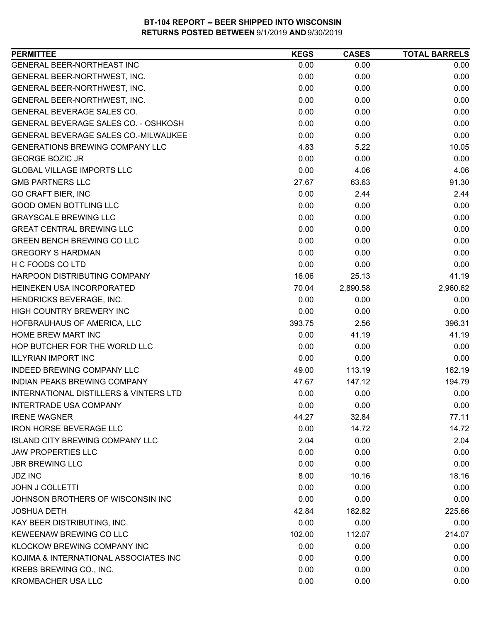| <b>PERMITTEE</b>                            | <b>KEGS</b> | <b>CASES</b> | <b>TOTAL BARRELS</b> |
|---------------------------------------------|-------------|--------------|----------------------|
| GENERAL BEER-NORTHEAST INC                  | 0.00        | 0.00         | 0.00                 |
| GENERAL BEER-NORTHWEST, INC.                | 0.00        | 0.00         | 0.00                 |
| GENERAL BEER-NORTHWEST, INC.                | 0.00        | 0.00         | 0.00                 |
| GENERAL BEER-NORTHWEST, INC.                | 0.00        | 0.00         | 0.00                 |
| GENERAL BEVERAGE SALES CO.                  | 0.00        | 0.00         | 0.00                 |
| GENERAL BEVERAGE SALES CO. - OSHKOSH        | 0.00        | 0.00         | 0.00                 |
| <b>GENERAL BEVERAGE SALES CO.-MILWAUKEE</b> | 0.00        | 0.00         | 0.00                 |
| <b>GENERATIONS BREWING COMPANY LLC</b>      | 4.83        | 5.22         | 10.05                |
| <b>GEORGE BOZIC JR</b>                      | 0.00        | 0.00         | 0.00                 |
| <b>GLOBAL VILLAGE IMPORTS LLC</b>           | 0.00        | 4.06         | 4.06                 |
| <b>GMB PARTNERS LLC</b>                     | 27.67       | 63.63        | 91.30                |
| <b>GO CRAFT BIER, INC</b>                   | 0.00        | 2.44         | 2.44                 |
| <b>GOOD OMEN BOTTLING LLC</b>               | 0.00        | 0.00         | 0.00                 |
| <b>GRAYSCALE BREWING LLC</b>                | 0.00        | 0.00         | 0.00                 |
| <b>GREAT CENTRAL BREWING LLC</b>            | 0.00        | 0.00         | 0.00                 |
| <b>GREEN BENCH BREWING CO LLC</b>           | 0.00        | 0.00         | 0.00                 |
| <b>GREGORY S HARDMAN</b>                    | 0.00        | 0.00         | 0.00                 |
| H C FOODS CO LTD                            | 0.00        | 0.00         | 0.00                 |
| HARPOON DISTRIBUTING COMPANY                | 16.06       | 25.13        | 41.19                |
| HEINEKEN USA INCORPORATED                   | 70.04       | 2,890.58     | 2,960.62             |
| HENDRICKS BEVERAGE, INC.                    | 0.00        | 0.00         | 0.00                 |
| HIGH COUNTRY BREWERY INC                    | 0.00        | 0.00         | 0.00                 |
| HOFBRAUHAUS OF AMERICA, LLC                 | 393.75      | 2.56         | 396.31               |
| <b>HOME BREW MART INC</b>                   | 0.00        | 41.19        | 41.19                |
| HOP BUTCHER FOR THE WORLD LLC               | 0.00        | 0.00         | 0.00                 |
| <b>ILLYRIAN IMPORT INC</b>                  | 0.00        | 0.00         | 0.00                 |
| <b>INDEED BREWING COMPANY LLC</b>           | 49.00       | 113.19       | 162.19               |
| INDIAN PEAKS BREWING COMPANY                | 47.67       | 147.12       | 194.79               |
| INTERNATIONAL DISTILLERS & VINTERS LTD      | 0.00        | 0.00         | 0.00                 |
| <b>INTERTRADE USA COMPANY</b>               | 0.00        | 0.00         | 0.00                 |
| <b>IRENE WAGNER</b>                         | 44.27       | 32.84        | 77.11                |
| <b>IRON HORSE BEVERAGE LLC</b>              | 0.00        | 14.72        | 14.72                |
| <b>ISLAND CITY BREWING COMPANY LLC</b>      | 2.04        | 0.00         | 2.04                 |
| <b>JAW PROPERTIES LLC</b>                   | 0.00        | 0.00         | 0.00                 |
| <b>JBR BREWING LLC</b>                      | 0.00        | 0.00         | 0.00                 |
| <b>JDZ INC</b>                              | 8.00        | 10.16        | 18.16                |
| <b>JOHN J COLLETTI</b>                      | 0.00        | 0.00         | 0.00                 |
| JOHNSON BROTHERS OF WISCONSIN INC           | 0.00        | 0.00         | 0.00                 |
| <b>JOSHUA DETH</b>                          | 42.84       | 182.82       | 225.66               |
| KAY BEER DISTRIBUTING, INC.                 | 0.00        | 0.00         | 0.00                 |
| KEWEENAW BREWING CO LLC                     | 102.00      | 112.07       | 214.07               |
| KLOCKOW BREWING COMPANY INC                 | 0.00        | 0.00         | 0.00                 |
| KOJIMA & INTERNATIONAL ASSOCIATES INC       | 0.00        | 0.00         | 0.00                 |
| KREBS BREWING CO., INC.                     | 0.00        | 0.00         | 0.00                 |
| <b>KROMBACHER USA LLC</b>                   | 0.00        | 0.00         | 0.00                 |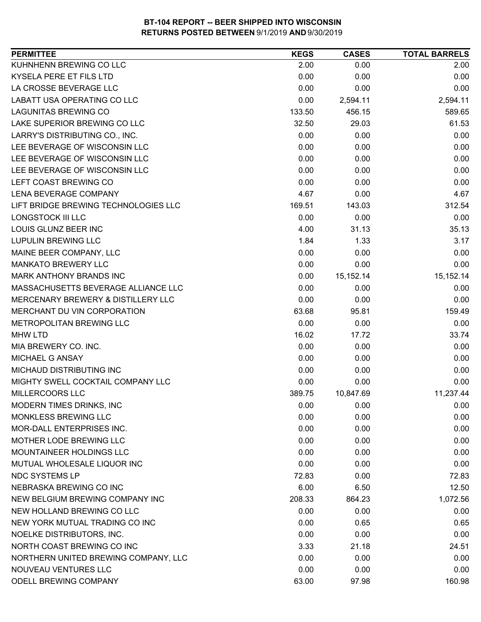| <b>PERMITTEE</b>                     | <b>KEGS</b> | <b>CASES</b> | <b>TOTAL BARRELS</b> |
|--------------------------------------|-------------|--------------|----------------------|
| KUHNHENN BREWING CO LLC              | 2.00        | 0.00         | 2.00                 |
| KYSELA PERE ET FILS LTD              | 0.00        | 0.00         | 0.00                 |
| LA CROSSE BEVERAGE LLC               | 0.00        | 0.00         | 0.00                 |
| LABATT USA OPERATING CO LLC          | 0.00        | 2,594.11     | 2,594.11             |
| <b>LAGUNITAS BREWING CO</b>          | 133.50      | 456.15       | 589.65               |
| LAKE SUPERIOR BREWING CO LLC         | 32.50       | 29.03        | 61.53                |
| LARRY'S DISTRIBUTING CO., INC.       | 0.00        | 0.00         | 0.00                 |
| LEE BEVERAGE OF WISCONSIN LLC        | 0.00        | 0.00         | 0.00                 |
| LEE BEVERAGE OF WISCONSIN LLC        | 0.00        | 0.00         | 0.00                 |
| LEE BEVERAGE OF WISCONSIN LLC        | 0.00        | 0.00         | 0.00                 |
| LEFT COAST BREWING CO                | 0.00        | 0.00         | 0.00                 |
| LENA BEVERAGE COMPANY                | 4.67        | 0.00         | 4.67                 |
| LIFT BRIDGE BREWING TECHNOLOGIES LLC | 169.51      | 143.03       | 312.54               |
| <b>LONGSTOCK III LLC</b>             | 0.00        | 0.00         | 0.00                 |
| LOUIS GLUNZ BEER INC                 | 4.00        | 31.13        | 35.13                |
| <b>LUPULIN BREWING LLC</b>           | 1.84        | 1.33         | 3.17                 |
| MAINE BEER COMPANY, LLC              | 0.00        | 0.00         | 0.00                 |
| <b>MANKATO BREWERY LLC</b>           | 0.00        | 0.00         | 0.00                 |
| MARK ANTHONY BRANDS INC              | 0.00        | 15, 152. 14  | 15, 152. 14          |
| MASSACHUSETTS BEVERAGE ALLIANCE LLC  | 0.00        | 0.00         | 0.00                 |
| MERCENARY BREWERY & DISTILLERY LLC   | 0.00        | 0.00         | 0.00                 |
| MERCHANT DU VIN CORPORATION          | 63.68       | 95.81        | 159.49               |
| METROPOLITAN BREWING LLC             | 0.00        | 0.00         | 0.00                 |
| <b>MHW LTD</b>                       | 16.02       | 17.72        | 33.74                |
| MIA BREWERY CO. INC.                 | 0.00        | 0.00         | 0.00                 |
| MICHAEL G ANSAY                      | 0.00        | 0.00         | 0.00                 |
| MICHAUD DISTRIBUTING INC             | 0.00        | 0.00         | 0.00                 |
| MIGHTY SWELL COCKTAIL COMPANY LLC    | 0.00        | 0.00         | 0.00                 |
| MILLERCOORS LLC                      | 389.75      | 10,847.69    | 11,237.44            |
| MODERN TIMES DRINKS, INC             | 0.00        | 0.00         | 0.00                 |
| MONKLESS BREWING LLC                 | 0.00        | 0.00         | 0.00                 |
| <b>MOR-DALL ENTERPRISES INC.</b>     | 0.00        | 0.00         | 0.00                 |
| MOTHER LODE BREWING LLC              | 0.00        | 0.00         | 0.00                 |
| MOUNTAINEER HOLDINGS LLC             | 0.00        | 0.00         | 0.00                 |
| MUTUAL WHOLESALE LIQUOR INC          | 0.00        | 0.00         | 0.00                 |
| <b>NDC SYSTEMS LP</b>                | 72.83       | 0.00         | 72.83                |
| NEBRASKA BREWING CO INC              | 6.00        | 6.50         | 12.50                |
| NEW BELGIUM BREWING COMPANY INC      | 208.33      | 864.23       | 1,072.56             |
| NEW HOLLAND BREWING CO LLC           | 0.00        | 0.00         | 0.00                 |
| NEW YORK MUTUAL TRADING CO INC       | 0.00        | 0.65         | 0.65                 |
| NOELKE DISTRIBUTORS, INC.            | 0.00        | 0.00         | 0.00                 |
| NORTH COAST BREWING CO INC           | 3.33        | 21.18        | 24.51                |
| NORTHERN UNITED BREWING COMPANY, LLC | 0.00        | 0.00         | 0.00                 |
| NOUVEAU VENTURES LLC                 | 0.00        | 0.00         | 0.00                 |
| ODELL BREWING COMPANY                | 63.00       | 97.98        | 160.98               |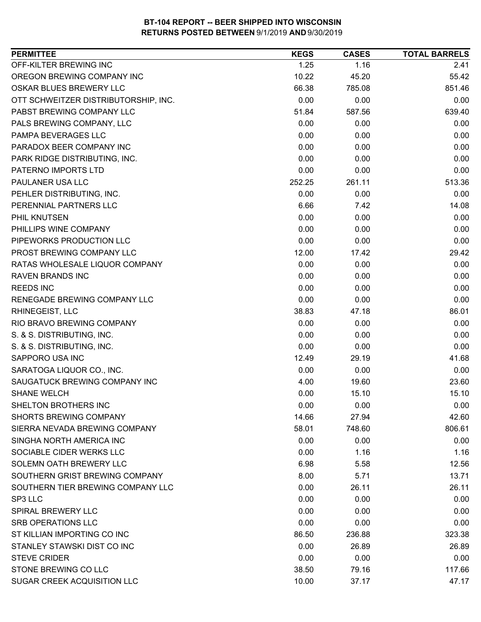| <b>PERMITTEE</b>                     | <b>KEGS</b> | <b>CASES</b> | <b>TOTAL BARRELS</b> |
|--------------------------------------|-------------|--------------|----------------------|
| OFF-KILTER BREWING INC               | 1.25        | 1.16         | 2.41                 |
| OREGON BREWING COMPANY INC           | 10.22       | 45.20        | 55.42                |
| OSKAR BLUES BREWERY LLC              | 66.38       | 785.08       | 851.46               |
| OTT SCHWEITZER DISTRIBUTORSHIP, INC. | 0.00        | 0.00         | 0.00                 |
| PABST BREWING COMPANY LLC            | 51.84       | 587.56       | 639.40               |
| PALS BREWING COMPANY, LLC            | 0.00        | 0.00         | 0.00                 |
| PAMPA BEVERAGES LLC                  | 0.00        | 0.00         | 0.00                 |
| PARADOX BEER COMPANY INC             | 0.00        | 0.00         | 0.00                 |
| PARK RIDGE DISTRIBUTING, INC.        | 0.00        | 0.00         | 0.00                 |
| PATERNO IMPORTS LTD                  | 0.00        | 0.00         | 0.00                 |
| PAULANER USA LLC                     | 252.25      | 261.11       | 513.36               |
| PEHLER DISTRIBUTING, INC.            | 0.00        | 0.00         | 0.00                 |
| PERENNIAL PARTNERS LLC               | 6.66        | 7.42         | 14.08                |
| PHIL KNUTSEN                         | 0.00        | 0.00         | 0.00                 |
| PHILLIPS WINE COMPANY                | 0.00        | 0.00         | 0.00                 |
| PIPEWORKS PRODUCTION LLC             | 0.00        | 0.00         | 0.00                 |
| PROST BREWING COMPANY LLC            | 12.00       | 17.42        | 29.42                |
| RATAS WHOLESALE LIQUOR COMPANY       | 0.00        | 0.00         | 0.00                 |
| <b>RAVEN BRANDS INC</b>              | 0.00        | 0.00         | 0.00                 |
| <b>REEDS INC</b>                     | 0.00        | 0.00         | 0.00                 |
| RENEGADE BREWING COMPANY LLC         | 0.00        | 0.00         | 0.00                 |
| RHINEGEIST, LLC                      | 38.83       | 47.18        | 86.01                |
| RIO BRAVO BREWING COMPANY            | 0.00        | 0.00         | 0.00                 |
| S. & S. DISTRIBUTING, INC.           | 0.00        | 0.00         | 0.00                 |
| S. & S. DISTRIBUTING, INC.           | 0.00        | 0.00         | 0.00                 |
| SAPPORO USA INC                      | 12.49       | 29.19        | 41.68                |
| SARATOGA LIQUOR CO., INC.            | 0.00        | 0.00         | 0.00                 |
| SAUGATUCK BREWING COMPANY INC        | 4.00        | 19.60        | 23.60                |
| <b>SHANE WELCH</b>                   | 0.00        | 15.10        | 15.10                |
| SHELTON BROTHERS INC                 | 0.00        | 0.00         | 0.00                 |
| <b>SHORTS BREWING COMPANY</b>        | 14.66       | 27.94        | 42.60                |
| SIERRA NEVADA BREWING COMPANY        | 58.01       | 748.60       | 806.61               |
| SINGHA NORTH AMERICA INC             | 0.00        | 0.00         | 0.00                 |
| SOCIABLE CIDER WERKS LLC             | 0.00        | 1.16         | 1.16                 |
| SOLEMN OATH BREWERY LLC              | 6.98        | 5.58         | 12.56                |
| SOUTHERN GRIST BREWING COMPANY       | 8.00        | 5.71         | 13.71                |
| SOUTHERN TIER BREWING COMPANY LLC    | 0.00        | 26.11        | 26.11                |
| SP3 LLC                              | 0.00        | 0.00         | 0.00                 |
| SPIRAL BREWERY LLC                   | 0.00        | 0.00         | 0.00                 |
| <b>SRB OPERATIONS LLC</b>            | 0.00        | 0.00         | 0.00                 |
| ST KILLIAN IMPORTING CO INC          | 86.50       | 236.88       | 323.38               |
| STANLEY STAWSKI DIST CO INC          | 0.00        | 26.89        | 26.89                |
| <b>STEVE CRIDER</b>                  | 0.00        | 0.00         | 0.00                 |
| STONE BREWING CO LLC                 | 38.50       | 79.16        | 117.66               |
| SUGAR CREEK ACQUISITION LLC          | 10.00       | 37.17        | 47.17                |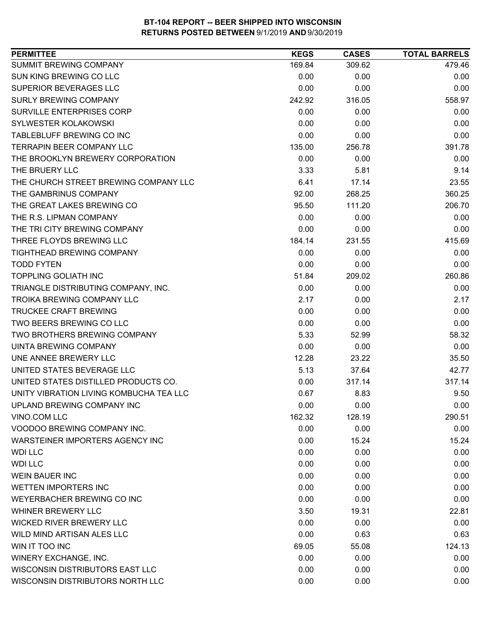| <b>PERMITTEE</b>                        | <b>KEGS</b> | <b>CASES</b> | <b>TOTAL BARRELS</b> |
|-----------------------------------------|-------------|--------------|----------------------|
| SUMMIT BREWING COMPANY                  | 169.84      | 309.62       | 479.46               |
| SUN KING BREWING CO LLC                 | 0.00        | 0.00         | 0.00                 |
| SUPERIOR BEVERAGES LLC                  | 0.00        | 0.00         | 0.00                 |
| <b>SURLY BREWING COMPANY</b>            | 242.92      | 316.05       | 558.97               |
| SURVILLE ENTERPRISES CORP               | 0.00        | 0.00         | 0.00                 |
| SYLWESTER KOLAKOWSKI                    | 0.00        | 0.00         | 0.00                 |
| TABLEBLUFF BREWING CO INC               | 0.00        | 0.00         | 0.00                 |
| TERRAPIN BEER COMPANY LLC               | 135.00      | 256.78       | 391.78               |
| THE BROOKLYN BREWERY CORPORATION        | 0.00        | 0.00         | 0.00                 |
| THE BRUERY LLC                          | 3.33        | 5.81         | 9.14                 |
| THE CHURCH STREET BREWING COMPANY LLC   | 6.41        | 17.14        | 23.55                |
| THE GAMBRINUS COMPANY                   | 92.00       | 268.25       | 360.25               |
| THE GREAT LAKES BREWING CO              | 95.50       | 111.20       | 206.70               |
| THE R.S. LIPMAN COMPANY                 | 0.00        | 0.00         | 0.00                 |
| THE TRI CITY BREWING COMPANY            | 0.00        | 0.00         | 0.00                 |
| THREE FLOYDS BREWING LLC                | 184.14      | 231.55       | 415.69               |
| TIGHTHEAD BREWING COMPANY               | 0.00        | 0.00         | 0.00                 |
| <b>TODD FYTEN</b>                       | 0.00        | 0.00         | 0.00                 |
| <b>TOPPLING GOLIATH INC</b>             | 51.84       | 209.02       | 260.86               |
| TRIANGLE DISTRIBUTING COMPANY, INC.     | 0.00        | 0.00         | 0.00                 |
| <b>TROIKA BREWING COMPANY LLC</b>       | 2.17        | 0.00         | 2.17                 |
| <b>TRUCKEE CRAFT BREWING</b>            | 0.00        | 0.00         | 0.00                 |
| TWO BEERS BREWING CO LLC                | 0.00        | 0.00         | 0.00                 |
| TWO BROTHERS BREWING COMPANY            | 5.33        | 52.99        | 58.32                |
| UINTA BREWING COMPANY                   | 0.00        | 0.00         | 0.00                 |
| UNE ANNEE BREWERY LLC                   | 12.28       | 23.22        | 35.50                |
| UNITED STATES BEVERAGE LLC              | 5.13        | 37.64        | 42.77                |
| UNITED STATES DISTILLED PRODUCTS CO.    | 0.00        | 317.14       | 317.14               |
| UNITY VIBRATION LIVING KOMBUCHA TEA LLC | 0.67        | 8.83         | 9.50                 |
| UPLAND BREWING COMPANY INC              | 0.00        | 0.00         | 0.00                 |
| VINO.COM LLC                            | 162.32      | 128.19       | 290.51               |
| VOODOO BREWING COMPANY INC.             | 0.00        | 0.00         | 0.00                 |
| WARSTEINER IMPORTERS AGENCY INC         | 0.00        | 15.24        | 15.24                |
| <b>WDI LLC</b>                          | 0.00        | 0.00         | 0.00                 |
| <b>WDI LLC</b>                          | 0.00        | 0.00         | 0.00                 |
| <b>WEIN BAUER INC</b>                   | 0.00        | 0.00         | 0.00                 |
| <b>WETTEN IMPORTERS INC</b>             | 0.00        | 0.00         | 0.00                 |
| WEYERBACHER BREWING CO INC              | 0.00        | 0.00         | 0.00                 |
| <b>WHINER BREWERY LLC</b>               | 3.50        | 19.31        | 22.81                |
| <b>WICKED RIVER BREWERY LLC</b>         | 0.00        | 0.00         | 0.00                 |
| WILD MIND ARTISAN ALES LLC              | 0.00        | 0.63         | 0.63                 |
| WIN IT TOO INC                          | 69.05       | 55.08        | 124.13               |
| WINERY EXCHANGE, INC.                   | 0.00        | 0.00         | 0.00                 |
| WISCONSIN DISTRIBUTORS EAST LLC         | 0.00        | 0.00         | 0.00                 |
| WISCONSIN DISTRIBUTORS NORTH LLC        | 0.00        | 0.00         | 0.00                 |